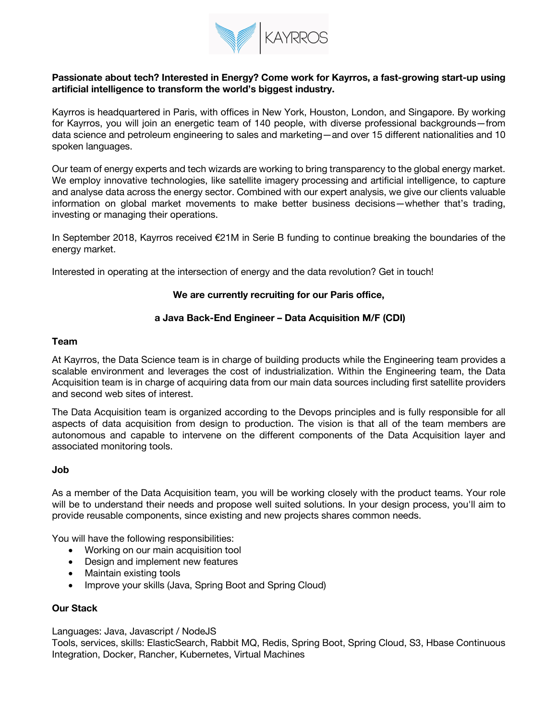

## **Passionate about tech? Interested in Energy? Come work for Kayrros, a fast-growing start-up using artificial intelligence to transform the world's biggest industry.**

Kayrros is headquartered in Paris, with offices in New York, Houston, London, and Singapore. By working for Kayrros, you will join an energetic team of 140 people, with diverse professional backgrounds—from data science and petroleum engineering to sales and marketing—and over 15 different nationalities and 10 spoken languages.

Our team of energy experts and tech wizards are working to bring transparency to the global energy market. We employ innovative technologies, like satellite imagery processing and artificial intelligence, to capture and analyse data across the energy sector. Combined with our expert analysis, we give our clients valuable information on global market movements to make better business decisions—whether that's trading, investing or managing their operations.

In September 2018, Kayrros received €21M in Serie B funding to continue breaking the boundaries of the energy market.

Interested in operating at the intersection of energy and the data revolution? Get in touch!

### **We are currently recruiting for our Paris office,**

## **a Java Back-End Engineer – Data Acquisition M/F (CDI)**

#### **Team**

At Kayrros, the Data Science team is in charge of building products while the Engineering team provides a scalable environment and leverages the cost of industrialization. Within the Engineering team, the Data Acquisition team is in charge of acquiring data from our main data sources including first satellite providers and second web sites of interest.

The Data Acquisition team is organized according to the Devops principles and is fully responsible for all aspects of data acquisition from design to production. The vision is that all of the team members are autonomous and capable to intervene on the different components of the Data Acquisition layer and associated monitoring tools.

#### **Job**

As a member of the Data Acquisition team, you will be working closely with the product teams. Your role will be to understand their needs and propose well suited solutions. In your design process, you'll aim to provide reusable components, since existing and new projects shares common needs.

You will have the following responsibilities:

- Working on our main acquisition tool
- Design and implement new features
- Maintain existing tools
- Improve your skills (Java, Spring Boot and Spring Cloud)

#### **Our Stack**

Languages: Java, Javascript / NodeJS

Tools, services, skills: ElasticSearch, Rabbit MQ, Redis, Spring Boot, Spring Cloud, S3, Hbase Continuous Integration, Docker, Rancher, Kubernetes, Virtual Machines